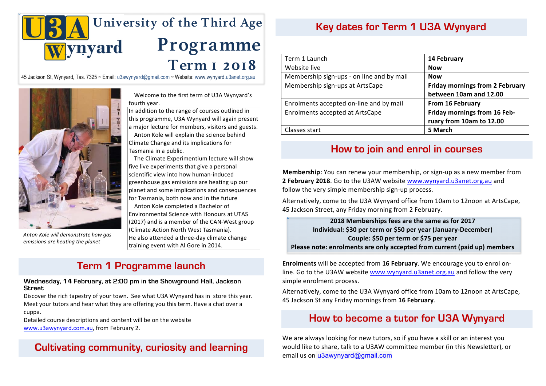

**2017** 45 Jackson St, Wynyard, Tas. 7325 ~ Email: u3awynyard@gmail.com ~ Website: www.wynyard.u3anet.org.au



*Anton Kole will demonstrate how gas emissions are heating the planet* 

Welcome to the first term of U3A Wynyard's fourth year.

In addition to the range of courses outlined in this programme, U3A Wynyard will again present a major lecture for members, visitors and guests.

Anton Kole will explain the science behind Climate Change and its implications for Tasmania in a public.

The Climate Experimentium lecture will show five live experiments that give a personal scientific view into how human-induced greenhouse gas emissions are heating up our planet and some implications and consequences for Tasmania, both now and in the future

(Climate Action North West Tasmania). **Example 20 individual: \$3** Anton Kole completed a Bachelor of Environmental Science with Honours at UTAS (2017) and is a member of the CAN-West group He also attended a three-day climate change training event with Al Gore in 2014.

# **Term 1 Programme launch**

**Wednesday, 14 February, at 2:00 pm in the Showground Hall, Jackson Street**

Discover the rich tapestry of your town. See what U3A Wynyard has in store this year. Meet your tutors and hear what they are offering you this term. Have a chat over a cuppa.

cuppa.<br>Detailed course descriptions and content will be on the website www.u3awynyard.com.au, from February 2.

# **Cultivating community, curiosity and learning**

# **Key dates for Term 1 U3A Wynyard**

| Term 1 Launch                             | 14 February                            |  |
|-------------------------------------------|----------------------------------------|--|
| Website live                              | <b>Now</b>                             |  |
| Membership sign-ups - on line and by mail | <b>Now</b>                             |  |
| Membership sign-ups at ArtsCape           | <b>Friday mornings from 2 February</b> |  |
|                                           | between 10am and 12.00                 |  |
| Enrolments accepted on-line and by mail   | From 16 February                       |  |
| Enrolments accepted at ArtsCape           | Friday mornings from 16 Feb-           |  |
|                                           | ruary from 10am to 12.00               |  |
| Classes start                             | 5 March                                |  |

# **How to join and enrol in courses**

**Membership:** You can renew your membership, or sign-up as a new member from **2 February 2018**. Go to the U3AW website www.wynyard.u3anet.org.au and follow the very simple membership sign-up process.

Alternatively, come to the U3A Wynyard office from 10am to 12noon at ArtsCape, 45 Jackson Street, any Friday morning from 2 February.

**2018 Memberships fees are the same as for 2017 Individual: \$30 per term or \$50 per year (January-December) Couple: \$50 per term or \$75 per year** Please note: enrolments are only accepted from current (paid up) members

**Enrolments** will be accepted from 16 February. We encourage you to enrol online. Go to the U3AW website www.wynyard.u3anet.org.au and follow the very simple enrolment process.

Alternatively, come to the U3A Wynyard office from 10am to 12noon at ArtsCape, 45 Jackson St any Friday mornings from **16 February**.

# **How to become a tutor for U3A Wynyard**

We are always looking for new tutors, so if you have a skill or an interest you would like to share, talk to a U3AW committee member (in this Newsletter), or email us on u3awynyard@gmail.com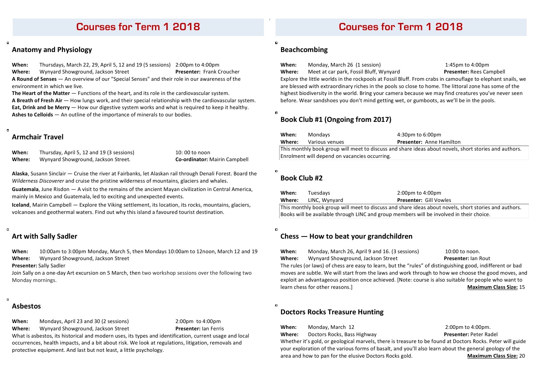# **Courses for Term 1 2018**

# **Anatomy and Physiology**

**When:** Thursdays, March 22, 29, April 5, 12 and 19 (5 sessions) 2:00pm to 4:00pm **Where:** Wynyard Showground, Jackson Street **Presenter:** Frank Croucher A Round of Senses — An overview of our "Special Senses" and their role in our awareness of the environment in which we live.

**The Heart of the Matter** — Functions of the heart, and its role in the cardiovascular system. **A Breath of Fresh Air** — How lungs work, and their special relationship with the cardiovascular system. **Eat, Drink and be Merry** — How our digestive system works and what is required to keep it healthy. **Ashes to Celloids** — An outline of the importance of minerals to our bodies.

## **Armchair Travel**

**When:** Thursday, April 5, 12 and 19 (3 sessions) 10: 00 to noon **Where:** Wynyard Showground, Jackson Street. **Co-ordinator:** Mairin Campbell

Alaska, Susann Sinclair — Cruise the river at Fairbanks, let Alaskan rail through Denali Forest. Board the *Wilderness Discoverer* and cruise the pristine wilderness of mountains, glaciers and whales.

**Guatemala**, June Risdon — A visit to the remains of the ancient Mayan civilization in Central America, mainly in Mexico and Guatemala, led to exciting and unexpected events.

**Iceland**, Mairin Campbell — Explore the Viking settlement, its location, its rocks, mountains, glaciers, volcanoes and geothermal waters. Find out why this island a favoured tourist destination.

# **Art with Sally Sadler**

**When:** 10:00am to 3:00pm Monday, March 5, then Mondays 10:00am to 12noon, March 12 and 19 Where: Wynyard Showground, Jackson Street

**Presenter:** Sally Sadler

Join Sally on a one-day Art excursion on 5 March, then two workshop sessions over the following two Monday mornings.

## **Asbestos**

o

 $\blacksquare$ 

**When:** Mondays, April 23 and 30 (2 sessions) 2:00pm to 4:00pm

**Where:** Wynyard Showground, Jackson Street **Presenter:** Ian Ferris

What is asbestos, its historical and modern uses, its types and identification, current usage and local occurrences, health impacts, and a bit about risk. We look at regulations, litigation, removals and protective equipment. And last but not least, a little psychology.

# **Courses for Term 1 2018**

# **Beachcombing**

**When:** Monday, March 26 (1 session) 1:45pm to 4:00pm

Where: Meet at car park, Fossil Bluff, Wynyard **Presenter:** Rees Campbell Explore the little worlds in the rockpools at Fossil Bluff. From crabs in camouflage to elephant snails, we are blessed with extraordinary riches in the pools so close to home. The littoral zone has some of the highest biodiversity in the world. Bring your camera because we may find creatures you've never seen before. Wear sandshoes you don't mind getting wet, or gumboots, as we'll be in the pools.

# **Book Club #1 (Ongoing from 2017)**

| When:                                                                                                 | Mondavs        | 4:30pm to 6:00pm                |  |  |
|-------------------------------------------------------------------------------------------------------|----------------|---------------------------------|--|--|
| Where:                                                                                                | Various venues | <b>Presenter:</b> Anne Hamilton |  |  |
| This monthly book group will meet to discuss and share ideas about novels, short stories and authors. |                |                                 |  |  |
| Enrolment will depend on vacancies occurring.                                                         |                |                                 |  |  |

# **Book Club #2**

 $\blacksquare$ 

 $\overline{a}$ 

| When:                                                                                                 | Tuesdavs      | 2:00pm to 4:00pm              |  |  |
|-------------------------------------------------------------------------------------------------------|---------------|-------------------------------|--|--|
| Where:                                                                                                | LINC. Wynyard | <b>Presenter: Gill Vowles</b> |  |  |
| This monthly book group will meet to discuss and share ideas about novels, short stories and authors. |               |                               |  |  |

Books will be available through LINC and group members will be involved in their choice.

# **Chess — How to beat your grandchildren**

**When:** Monday, March 26, April 9 and 16. (3 sessions) 10:00 to noon. **Where:** Wynyard Showground, Jackson Street **Presenter:** Ian Rout The rules (or laws) of chess are easy to learn, but the "rules" of distinguishing good, indifferent or bad moves are subtle. We will start from the laws and work through to how we choose the good moves, and exploit an advantageous position once achieved. [Note: course is also suitable for people who want to learn chess for other reasons.] **All and the struck of the struck of the Maximum Class Size:** 15

# **Doctors Rocks Treasure Hunting**

**When:** Monday, March 12 2:00pm to 4:00pm.

# **Where:** Doctors Rocks, Bass Highway **Presenter:** Peter Radel

Whether it's gold, or geological marvels, there is treasure to be found at Doctors Rocks. Peter will guide your exploration of the various forms of basalt, and you'll also learn about the general geology of the area and how to pan for the elusive Doctors Rocks gold. **Maximum Class Size:** 20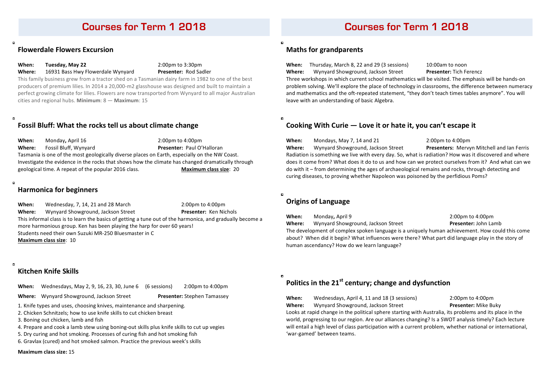## **Flowerdale Flowers Excursion**

**When: Tuesday, May 22** 2:00pm to 3:30pm

Where: 16931 Bass Hwy Flowerdale Wynyard **Presenter:** Rod Sadler

This family business grew from a tractor shed on a Tasmanian dairy farm in 1982 to one of the best producers of premium lilies. In 2014 a 20,000-m2 glasshouse was designed and built to maintain a perfect growing climate for lilies. Flowers are now transported from Wynyard to all major Australian cities and regional hubs. **Minimum**: 8 — **Maximum**: 15

# **Fossil Bluff: What the rocks tell us about climate change**

**When:** Monday, April 16 2:00pm to 4:00pm **Where:** Fossil Bluff, Wynyard **Presenter:** Paul O'Halloran Tasmania is one of the most geologically diverse places on Earth, especially on the NW Coast. Investigate the evidence in the rocks that shows how the climate has changed dramatically through geological time. A repeat of the popular 2016 class. **Maximum class size**: 20

## $\overline{a}$

 $\blacksquare$ 

 $\overline{a}$ 

## **Harmonica for beginners**

**When:** Wednesday, 7, 14, 21 and 28 March 2:00pm to 4:00pm **Where:** Wynyard Showground, Jackson Street **Presenter:** Ken Nichols This informal class is to learn the basics of getting a tune out of the harmonica, and gradually become a more harmonious group. Ken has been playing the harp for over 60 years! Students need their own Suzuki MR-250 Bluesmaster in C **Maximum class size: 10** 

# **Kitchen Knife Skills**

**When:** Wednesdays, May 2, 9, 16, 23, 30, June 6 (6 sessions) 2:00pm to 4:00pm

**Where:** Wynyard Showground, Jackson Street **Presenter:** Stephen Tamassey

1. Knife types and uses, choosing knives, maintenance and sharpening.

2. Chicken Schnitzels; how to use knife skills to cut chicken breast

3. Boning out chicken, lamb and fish

4. Prepare and cook a lamb stew using boning-out skills plus knife skills to cut up vegies

5. Dry curing and hot smoking. Processes of curing fish and hot smoking fish

6. Gravlax (cured) and hot smoked salmon. Practice the previous week's skills

### **Maximum class size: 15**

# **Courses for Term 1 2018 Courses for Term 1 2018**

# **Maths for grandparents**

**When:** Thursday, March 8, 22 and 29 (3 sessions) 10:00am to noon **Where:** Wynyard Showground, Jackson Street **Presenter:** Tich Ferencz

Three workshops in which current school mathematics will be visited. The emphasis will be hands-on problem solving. We'll explore the place of technology in classrooms, the difference between numeracy and mathematics and the oft-repeated statement, "they don't teach times tables anymore". You will leave with an understanding of basic Algebra.

 $\blacksquare$ 

 $\blacksquare$ 

# **Cooking With Curie – Love it or hate it, you can't escape it**

**When:** Mondays, May 7, 14 and 21 2:00pm to 4:00pm **Where:** Wynyard Showground, Jackson Street **Presenters:** Mervyn Mitchell and Ian Ferris Radiation is something we live with every day. So, what is radiation? How was it discovered and where does it come from? What does it do to us and how can we protect ourselves from it? And what can we do with it – from determining the ages of archaeological remains and rocks, through detecting and curing diseases, to proving whether Napoleon was poisoned by the perfidious Poms?

# **Origins of Language**

**When:** Monday, April 9 **When:** 2:00pm to 4:00pm

**Where:** Wynyard Showground, Jackson Street **Presenter:** John Lamb

The development of complex spoken language is a uniquely human achievement. How could this come about? When did it begin? What influences were there? What part did language play in the story of human ascendancy? How do we learn language?



# Politics in the 21<sup>st</sup> century; change and dysfunction

**When:** Wednesdays, April 4, 11 and 18 (3 sessions) 2:00pm to 4:00pm **Where:** Wynyard Showground, Jackson Street **Presenter:** Mike Buky

Looks at rapid change in the political sphere starting with Australia, its problems and its place in the world, progressing to our region. Are our alliances changing? Is a SWOT analysis timely? Each lecture will entail a high level of class participation with a current problem, whether national or international. 'war-gamed' between teams.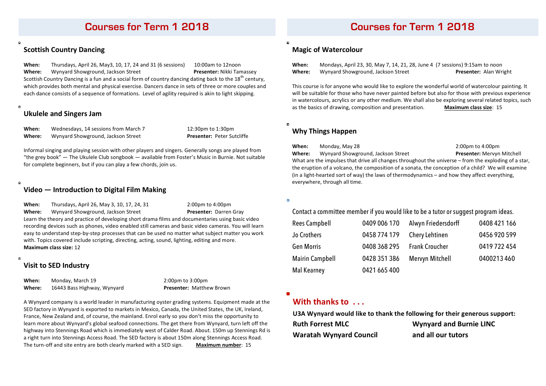# **Courses for Term 1 2018**

# **Scottish Country Dancing**

**When:** Thursdays, April 26, May3, 10, 17, 24 and 31 (6 sessions) 10:00am to 12noon **Where:** Wynyard Showground, Jackson Street **1988 Presenter:** Nikki Tamassey Scottish Country Dancing is a fun and a social form of country dancing dating back to the 18<sup>th</sup> century, which provides both mental and physical exercise. Dancers dance in sets of three or more couples and each dance consists of a sequence of formations. Level of agility required is akin to light skipping.

## **Ukulele and Singers Jam**

 $\mathbf{a}$ 

 $\blacksquare$ 

 $\overline{a}$ 

**When:** Wednesdays, 14 sessions from March 7 12:30pm to 1:30pm **Where:** Wynyard Showground, Jackson Street **Presenter:** Peter Sutcliffe

Informal singing and playing session with other players and singers. Generally songs are played from "the grey book" — The Ukulele Club songbook — available from Foster's Music in Burnie. Not suitable for complete beginners, but if you can play a few chords, join us.

## **Video — Introduction to Digital Film Making**

**When:** Thursdays, April 26, May 3, 10, 17, 24, 31 2:00pm to 4:00pm **Where:** Wynyard Showground, Jackson Street **Presenter:** Darren Gray Learn the theory and practice of developing short drama films and documentaries using basic video recording devices such as phones, video enabled still cameras and basic video cameras. You will learn easy to understand step-by-step processes that can be used no matter what subject matter you work with. Topics covered include scripting, directing, acting, sound, lighting, editing and more. **Maximum class size:** 12

## **Visit to SED Industry**

**When:** Monday, March 19 2:00pm to 3:00pm **Where:** 16443 Bass Highway, Wynyard **Presenter:** Matthew Brown

A Wynyard company is a world leader in manufacturing oyster grading systems. Equipment made at the SED factory in Wynyard is exported to markets in Mexico, Canada, the United States, the UK, Ireland, France, New Zealand and, of course, the mainland. Enrol early so you don't miss the opportunity to learn more about Wynyard's global seafood connections. The get there from Wynyard, turn left off the highway into Stennings Road which is immediately west of Calder Road. About. 150m up Stennings Rd is a right turn into Stennings Access Road. The SED factory is about 150m along Stennings Access Road. The turn-off and site entry are both clearly marked with a SED sign. Maximum number: 15

# **Courses for Term 1 2018**

## **Magic of Watercolour**

**When:** Mondays, April 23, 30, May 7, 14, 21, 28, June 4 (7 sessions) 9:15am to noon **Where:** Wynyard Showground, Jackson Street **Presenter:** Alan Wright

This course is for anyone who would like to explore the wonderful world of watercolour painting. It will be suitable for those who have never painted before but also for those with previous experience in watercolours, acrylics or any other medium. We shall also be exploring several related topics, such as the basics of drawing, composition and presentation. **Maximum class size**: 15

## **Why Things Happen**

**When:** Monday, May 28 2:00pm to 4:00pm **Where:** Wynyard Showground, Jackson Street **Presenter:** Mervyn Mitchell What are the impulses that drive all changes throughout the universe – from the exploding of a star, the eruption of a volcano, the composition of a sonata, the conception of a child? We will examine (in a light-hearted sort of way) the laws of thermodynamics – and how they affect everything, everywhere, through all time.

 $\blacksquare$ 

## Contact a committee member if you would like to be a tutor or suggest program ideas.

| <b>Rees Campbell</b>   | 0409 006 170 | Alwyn Friedersdorff   | 0408 421 166 |
|------------------------|--------------|-----------------------|--------------|
| Jo Crothers            | 0458 774 179 | Chery Lehtinen        | 0456 920 599 |
| Gen Morris             | 0408 368 295 | <b>Frank Croucher</b> | 0419 722 454 |
| <b>Mairin Campbell</b> | 0428 351 386 | Mervyn Mitchell       | 0400213460   |
| <b>Mal Kearney</b>     | 0421 665 400 |                       |              |

**With thanks to** ...

**U3A Wynyard would like to thank the following for their generous support: Ruth Forrest MLC Wynyard and Burnie LINC Waratah Wynyard Council and all our tutors**